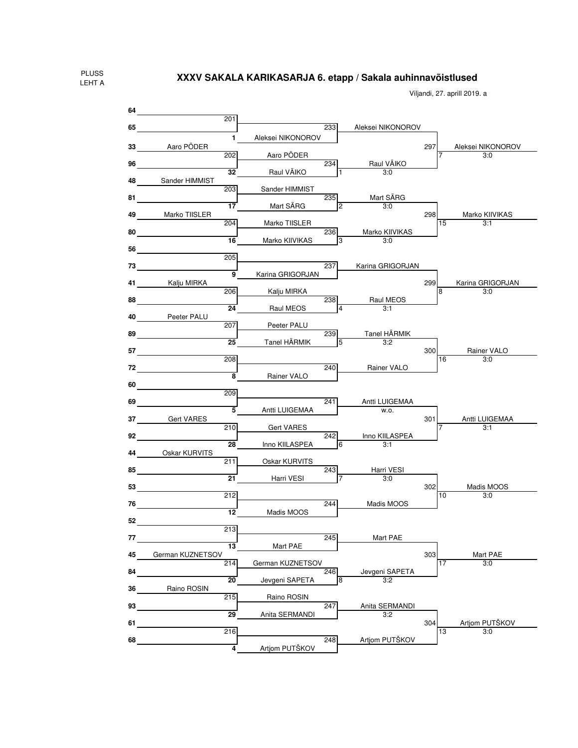Viljandi, 27. aprill 2019. a

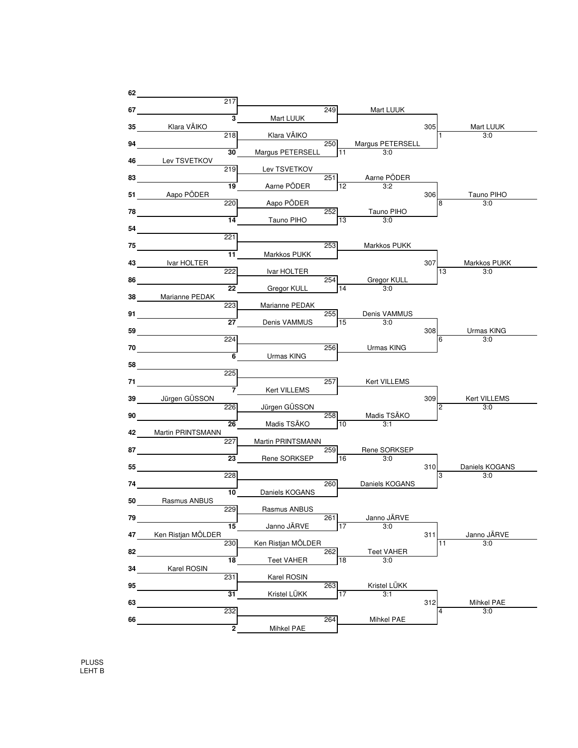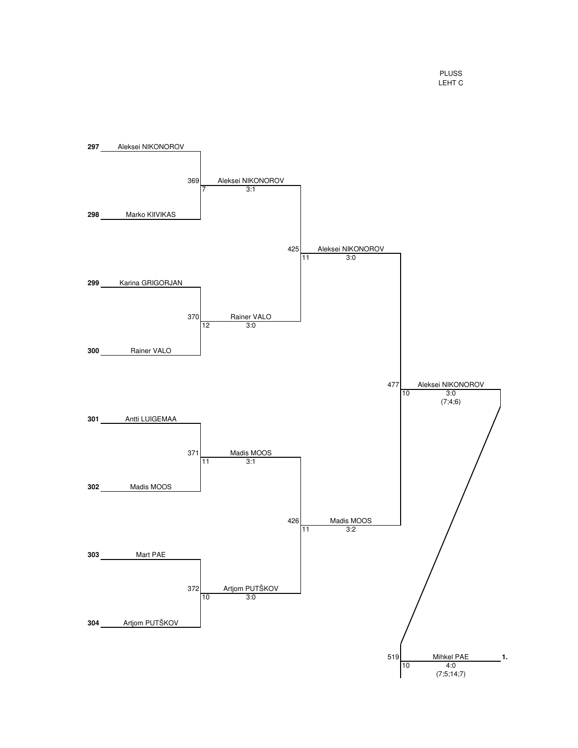PLUSS LEHT C